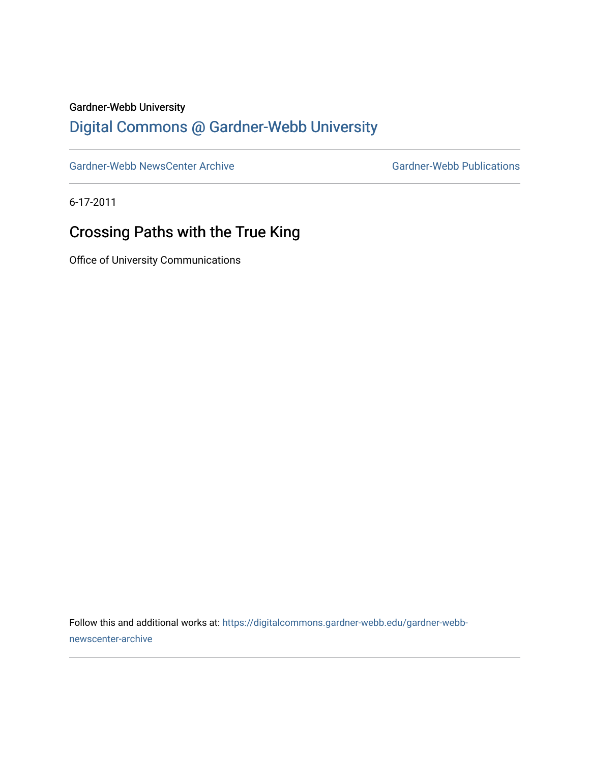## Gardner-Webb University

## [Digital Commons @ Gardner-Webb University](https://digitalcommons.gardner-webb.edu/)

[Gardner-Webb NewsCenter Archive](https://digitalcommons.gardner-webb.edu/gardner-webb-newscenter-archive) Gardner-Webb Publications

6-17-2011

## Crossing Paths with the True King

Office of University Communications

Follow this and additional works at: [https://digitalcommons.gardner-webb.edu/gardner-webb](https://digitalcommons.gardner-webb.edu/gardner-webb-newscenter-archive?utm_source=digitalcommons.gardner-webb.edu%2Fgardner-webb-newscenter-archive%2F2069&utm_medium=PDF&utm_campaign=PDFCoverPages)[newscenter-archive](https://digitalcommons.gardner-webb.edu/gardner-webb-newscenter-archive?utm_source=digitalcommons.gardner-webb.edu%2Fgardner-webb-newscenter-archive%2F2069&utm_medium=PDF&utm_campaign=PDFCoverPages)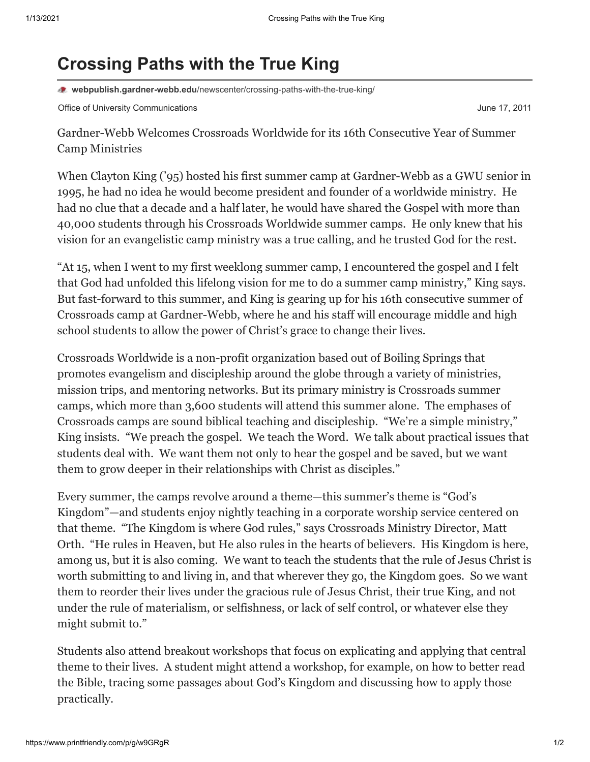## **Crossing Paths with the True King**

**webpublish.gardner-webb.edu**[/newscenter/crossing-paths-with-the-true-king/](https://webpublish.gardner-webb.edu/newscenter/crossing-paths-with-the-true-king/)

Office of University Communications **Communications Communications June 17, 2011** 

Gardner-Webb Welcomes Crossroads Worldwide for its 16th Consecutive Year of Summer Camp Ministries

When Clayton King ('95) hosted his first summer camp at Gardner-Webb as a GWU senior in 1995, he had no idea he would become president and founder of a worldwide ministry. He had no clue that a decade and a half later, he would have shared the Gospel with more than 40,000 students through his Crossroads Worldwide summer camps. He only knew that his vision for an evangelistic camp ministry was a true calling, and he trusted God for the rest.

"At 15, when I went to my first weeklong summer camp, I encountered the gospel and I felt that God had unfolded this lifelong vision for me to do a summer camp ministry," King says. But fast-forward to this summer, and King is gearing up for his 16th consecutive summer of Crossroads camp at Gardner-Webb, where he and his staff will encourage middle and high school students to allow the power of Christ's grace to change their lives.

Crossroads Worldwide is a non-profit organization based out of Boiling Springs that promotes evangelism and discipleship around the globe through a variety of ministries, mission trips, and mentoring networks. But its primary ministry is Crossroads summer camps, which more than 3,600 students will attend this summer alone. The emphases of Crossroads camps are sound biblical teaching and discipleship. "We're a simple ministry," King insists. "We preach the gospel. We teach the Word. We talk about practical issues that students deal with. We want them not only to hear the gospel and be saved, but we want them to grow deeper in their relationships with Christ as disciples."

Every summer, the camps revolve around a theme—this summer's theme is "God's Kingdom"—and students enjoy nightly teaching in a corporate worship service centered on that theme. "The Kingdom is where God rules," says Crossroads Ministry Director, Matt Orth. "He rules in Heaven, but He also rules in the hearts of believers. His Kingdom is here, among us, but it is also coming. We want to teach the students that the rule of Jesus Christ is worth submitting to and living in, and that wherever they go, the Kingdom goes. So we want them to reorder their lives under the gracious rule of Jesus Christ, their true King, and not under the rule of materialism, or selfishness, or lack of self control, or whatever else they might submit to."

Students also attend breakout workshops that focus on explicating and applying that central theme to their lives. A student might attend a workshop, for example, on how to better read the Bible, tracing some passages about God's Kingdom and discussing how to apply those practically.